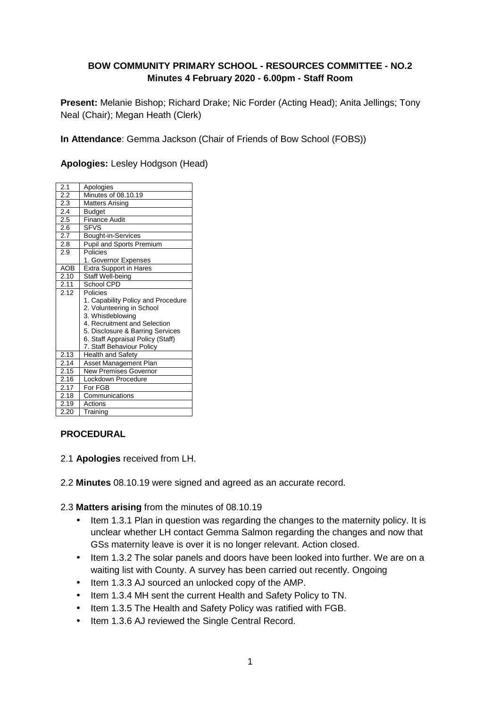## **BOW COMMUNITY PRIMARY SCHOOL - RESOURCES COMMITTEE - NO.2 Minutes 4 February 2020 - 6.00pm - Staff Room**

**Present:** Melanie Bishop; Richard Drake; Nic Forder (Acting Head); Anita Jellings; Tony Neal (Chair); Megan Heath (Clerk)

**In Attendance**: Gemma Jackson (Chair of Friends of Bow School (FOBS))

**Apologies:** Lesley Hodgson (Head)

| 1. Capability Policy and Procedure |
|------------------------------------|
|                                    |
|                                    |
| 4. Recruitment and Selection       |
| 5. Disclosure & Barring Services   |
| 6. Staff Appraisal Policy (Staff)  |
|                                    |
|                                    |
|                                    |
|                                    |
|                                    |
|                                    |
|                                    |
|                                    |
|                                    |
|                                    |

#### **PROCEDURAL**

- 2.1 **Apologies** received from LH.
- 2.2 **Minutes** 08.10.19 were signed and agreed as an accurate record.

2.3 **Matters arising** from the minutes of 08.10.19

- Item 1.3.1 Plan in question was regarding the changes to the maternity policy. It is unclear whether LH contact Gemma Salmon regarding the changes and now that GSs maternity leave is over it is no longer relevant. Action closed.
- Item 1.3.2 The solar panels and doors have been looked into further. We are on a waiting list with County. A survey has been carried out recently. Ongoing
- Item 1.3.3 AJ sourced an unlocked copy of the AMP.
- Item 1.3.4 MH sent the current Health and Safety Policy to TN.
- Item 1.3.5 The Health and Safety Policy was ratified with FGB.
- Item 1.3.6 AJ reviewed the Single Central Record.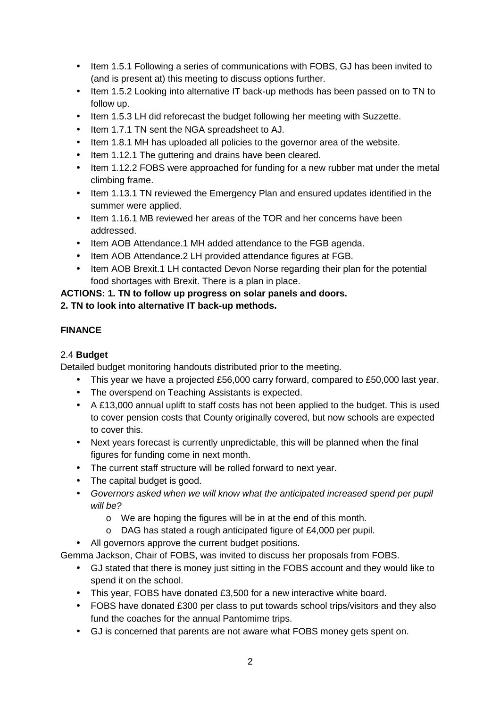- Item 1.5.1 Following a series of communications with FOBS, GJ has been invited to (and is present at) this meeting to discuss options further.
- Item 1.5.2 Looking into alternative IT back-up methods has been passed on to TN to follow up.
- Item 1.5.3 LH did reforecast the budget following her meeting with Suzzette.
- Item 1.7.1 TN sent the NGA spreadsheet to AJ.
- Item 1.8.1 MH has uploaded all policies to the governor area of the website.
- Item 1.12.1 The guttering and drains have been cleared.
- Item 1.12.2 FOBS were approached for funding for a new rubber mat under the metal climbing frame.
- Item 1.13.1 TN reviewed the Emergency Plan and ensured updates identified in the summer were applied.
- Item 1.16.1 MB reviewed her areas of the TOR and her concerns have been addressed.
- Item AOB Attendance.1 MH added attendance to the FGB agenda.
- Item AOB Attendance.2 LH provided attendance figures at FGB.
- Item AOB Brexit.1 LH contacted Devon Norse regarding their plan for the potential food shortages with Brexit. There is a plan in place.

# **ACTIONS: 1. TN to follow up progress on solar panels and doors.**

## **2. TN to look into alternative IT back-up methods.**

# **FINANCE**

## 2.4 **Budget**

Detailed budget monitoring handouts distributed prior to the meeting.

- This year we have a projected £56,000 carry forward, compared to £50,000 last year.
- The overspend on Teaching Assistants is expected.
- A £13,000 annual uplift to staff costs has not been applied to the budget. This is used to cover pension costs that County originally covered, but now schools are expected to cover this.
- Next years forecast is currently unpredictable, this will be planned when the final figures for funding come in next month.
- The current staff structure will be rolled forward to next year.
- The capital budget is good.
- Governors asked when we will know what the anticipated increased spend per pupil will be?
	- o We are hoping the figures will be in at the end of this month.
	- o DAG has stated a rough anticipated figure of £4,000 per pupil.
- All governors approve the current budget positions.

Gemma Jackson, Chair of FOBS, was invited to discuss her proposals from FOBS.

- GJ stated that there is money just sitting in the FOBS account and they would like to spend it on the school.
- This year, FOBS have donated £3,500 for a new interactive white board.
- FOBS have donated £300 per class to put towards school trips/visitors and they also fund the coaches for the annual Pantomime trips.
- GJ is concerned that parents are not aware what FOBS money gets spent on.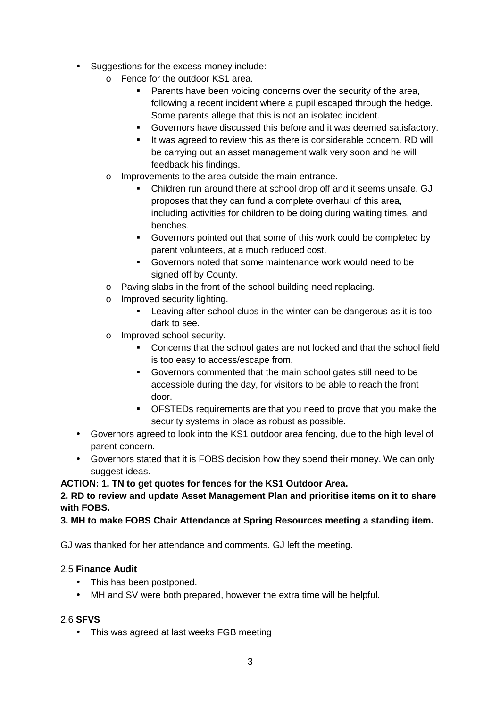- Suggestions for the excess money include:
	- o Fence for the outdoor KS1 area.
		- **Parents have been voicing concerns over the security of the area.** following a recent incident where a pupil escaped through the hedge. Some parents allege that this is not an isolated incident.
		- Governors have discussed this before and it was deemed satisfactory.
		- If was agreed to review this as there is considerable concern. RD will be carrying out an asset management walk very soon and he will feedback his findings.
	- o Improvements to the area outside the main entrance.
		- Children run around there at school drop off and it seems unsafe. GJ proposes that they can fund a complete overhaul of this area, including activities for children to be doing during waiting times, and benches.
		- Governors pointed out that some of this work could be completed by parent volunteers, at a much reduced cost.
		- Governors noted that some maintenance work would need to be signed off by County.
	- o Paving slabs in the front of the school building need replacing.
	- o Improved security lighting.
		- Leaving after-school clubs in the winter can be dangerous as it is too dark to see.
	- o Improved school security.
		- Concerns that the school gates are not locked and that the school field is too easy to access/escape from.
		- Governors commented that the main school gates still need to be accessible during the day, for visitors to be able to reach the front door.
		- OFSTEDs requirements are that you need to prove that you make the security systems in place as robust as possible.
- Governors agreed to look into the KS1 outdoor area fencing, due to the high level of parent concern.
- Governors stated that it is FOBS decision how they spend their money. We can only suggest ideas.

**ACTION: 1. TN to get quotes for fences for the KS1 Outdoor Area.** 

**2. RD to review and update Asset Management Plan and prioritise items on it to share with FOBS.** 

**3. MH to make FOBS Chair Attendance at Spring Resources meeting a standing item.** 

GJ was thanked for her attendance and comments. GJ left the meeting.

## 2.5 **Finance Audit**

- This has been postponed.
- MH and SV were both prepared, however the extra time will be helpful.

## 2.6 **SFVS**

• This was agreed at last weeks FGB meeting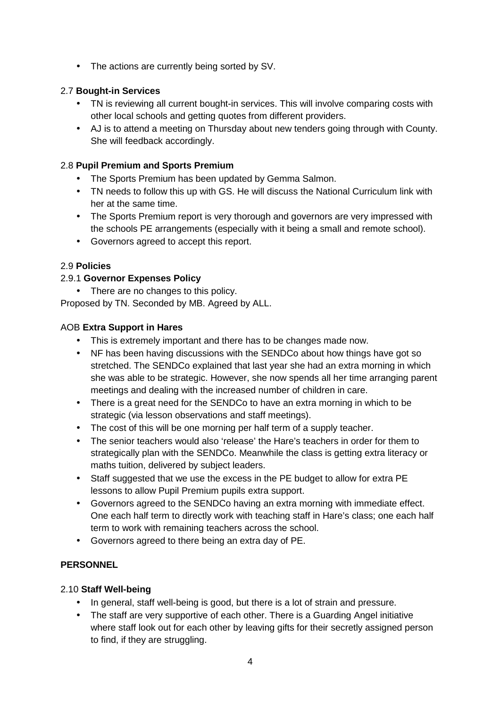• The actions are currently being sorted by SV.

## 2.7 **Bought-in Services**

- TN is reviewing all current bought-in services. This will involve comparing costs with other local schools and getting quotes from different providers.
- AJ is to attend a meeting on Thursday about new tenders going through with County. She will feedback accordingly.

## 2.8 **Pupil Premium and Sports Premium**

- The Sports Premium has been updated by Gemma Salmon.
- TN needs to follow this up with GS. He will discuss the National Curriculum link with her at the same time.
- The Sports Premium report is very thorough and governors are very impressed with the schools PE arrangements (especially with it being a small and remote school).
- Governors agreed to accept this report.

## 2.9 **Policies**

## 2.9.1 **Governor Expenses Policy**

• There are no changes to this policy.

Proposed by TN. Seconded by MB. Agreed by ALL.

## AOB **Extra Support in Hares**

- This is extremely important and there has to be changes made now.
- NF has been having discussions with the SENDCo about how things have got so stretched. The SENDCo explained that last year she had an extra morning in which she was able to be strategic. However, she now spends all her time arranging parent meetings and dealing with the increased number of children in care.
- There is a great need for the SENDCo to have an extra morning in which to be strategic (via lesson observations and staff meetings).
- The cost of this will be one morning per half term of a supply teacher.
- The senior teachers would also 'release' the Hare's teachers in order for them to strategically plan with the SENDCo. Meanwhile the class is getting extra literacy or maths tuition, delivered by subject leaders.
- Staff suggested that we use the excess in the PE budget to allow for extra PE lessons to allow Pupil Premium pupils extra support.
- Governors agreed to the SENDCo having an extra morning with immediate effect. One each half term to directly work with teaching staff in Hare's class; one each half term to work with remaining teachers across the school.
- Governors agreed to there being an extra day of PE.

## **PERSONNEL**

## 2.10 **Staff Well-being**

- In general, staff well-being is good, but there is a lot of strain and pressure.
- The staff are very supportive of each other. There is a Guarding Angel initiative where staff look out for each other by leaving gifts for their secretly assigned person to find, if they are struggling.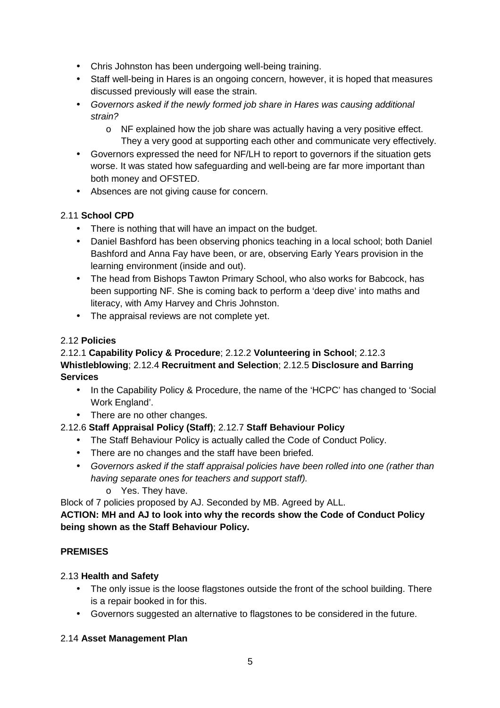- Chris Johnston has been undergoing well-being training.
- Staff well-being in Hares is an ongoing concern, however, it is hoped that measures discussed previously will ease the strain.
- Governors asked if the newly formed job share in Hares was causing additional strain?
	- $\circ$  NF explained how the job share was actually having a very positive effect. They a very good at supporting each other and communicate very effectively.
- Governors expressed the need for NF/LH to report to governors if the situation gets worse. It was stated how safeguarding and well-being are far more important than both money and OFSTED.
- Absences are not giving cause for concern.

## 2.11 **School CPD**

- There is nothing that will have an impact on the budget.
- Daniel Bashford has been observing phonics teaching in a local school; both Daniel Bashford and Anna Fay have been, or are, observing Early Years provision in the learning environment (inside and out).
- The head from Bishops Tawton Primary School, who also works for Babcock, has been supporting NF. She is coming back to perform a 'deep dive' into maths and literacy, with Amy Harvey and Chris Johnston.
- The appraisal reviews are not complete yet.

## 2.12 **Policies**

## 2.12.1 **Capability Policy & Procedure**; 2.12.2 **Volunteering in School**; 2.12.3 **Whistleblowing**; 2.12.4 **Recruitment and Selection**; 2.12.5 **Disclosure and Barring Services**

- In the Capability Policy & Procedure, the name of the 'HCPC' has changed to 'Social Work England'.
- There are no other changes.

## 2.12.6 **Staff Appraisal Policy (Staff)**; 2.12.7 **Staff Behaviour Policy**

- The Staff Behaviour Policy is actually called the Code of Conduct Policy.
- There are no changes and the staff have been briefed.
- Governors asked if the staff appraisal policies have been rolled into one (rather than having separate ones for teachers and support staff).
	- o Yes. They have.

Block of 7 policies proposed by AJ. Seconded by MB. Agreed by ALL.

## **ACTION: MH and AJ to look into why the records show the Code of Conduct Policy being shown as the Staff Behaviour Policy.**

## **PREMISES**

## 2.13 **Health and Safety**

- The only issue is the loose flagstones outside the front of the school building. There is a repair booked in for this.
- Governors suggested an alternative to flagstones to be considered in the future.

## 2.14 **Asset Management Plan**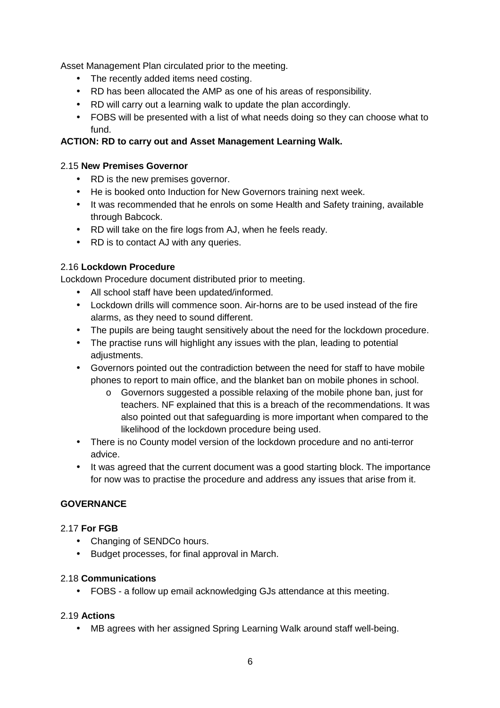Asset Management Plan circulated prior to the meeting.

- The recently added items need costing.
- RD has been allocated the AMP as one of his areas of responsibility.
- RD will carry out a learning walk to update the plan accordingly.
- FOBS will be presented with a list of what needs doing so they can choose what to fund.

#### **ACTION: RD to carry out and Asset Management Learning Walk.**

#### 2.15 **New Premises Governor**

- RD is the new premises governor.
- He is booked onto Induction for New Governors training next week.
- It was recommended that he enrols on some Health and Safety training, available through Babcock.
- RD will take on the fire logs from AJ, when he feels ready.
- RD is to contact AJ with any queries.

#### 2.16 **Lockdown Procedure**

Lockdown Procedure document distributed prior to meeting.

- All school staff have been updated/informed.
- Lockdown drills will commence soon. Air-horns are to be used instead of the fire alarms, as they need to sound different.
- The pupils are being taught sensitively about the need for the lockdown procedure.
- The practise runs will highlight any issues with the plan, leading to potential adiustments.
- Governors pointed out the contradiction between the need for staff to have mobile phones to report to main office, and the blanket ban on mobile phones in school.
	- $\circ$  Governors suggested a possible relaxing of the mobile phone ban, just for teachers. NF explained that this is a breach of the recommendations. It was also pointed out that safeguarding is more important when compared to the likelihood of the lockdown procedure being used.
- There is no County model version of the lockdown procedure and no anti-terror advice.
- It was agreed that the current document was a good starting block. The importance for now was to practise the procedure and address any issues that arise from it.

## **GOVERNANCE**

#### 2.17 **For FGB**

- Changing of SENDCo hours.
- Budget processes, for final approval in March.

#### 2.18 **Communications**

• FOBS - a follow up email acknowledging GJs attendance at this meeting.

#### 2.19 **Actions**

• MB agrees with her assigned Spring Learning Walk around staff well-being.